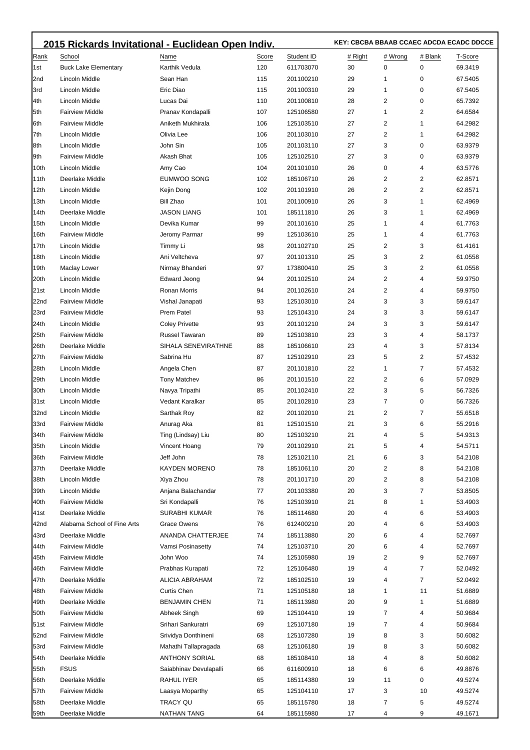|      | 2015 Rickards Invitational - Euclidean Open Indiv. |                        | KEY: CBCBA BBAAB CCAEC ADCDA ECADC DDCCE |            |         |                |         |         |
|------|----------------------------------------------------|------------------------|------------------------------------------|------------|---------|----------------|---------|---------|
| Rank | School                                             | Name                   | Score                                    | Student ID | # Right | # Wrong        | # Blank | T-Score |
| 1st  | <b>Buck Lake Elementary</b>                        | Karthik Vedula         | 120                                      | 611703070  | 30      | 0              | 0       | 69.3419 |
| 2nd  | Lincoln Middle                                     | Sean Han               | 115                                      | 201100210  | 29      | 1              | 0       | 67.5405 |
| 3rd  | Lincoln Middle                                     | Eric Diao              | 115                                      | 201100310  | 29      | 1              | 0       | 67.5405 |
| 4th  | Lincoln Middle                                     | Lucas Dai              | 110                                      | 201100810  | 28      | 2              | 0       | 65.7392 |
| 5th  | <b>Fairview Middle</b>                             | Pranav Kondapalli      | 107                                      | 125106580  | 27      | 1              | 2       | 64.6584 |
| 6th  | <b>Fairview Middle</b>                             | Aniketh Mukhirala      | 106                                      | 125103510  | 27      | 2              | 1       | 64.2982 |
| 7th  | <b>Lincoln Middle</b>                              | Olivia Lee             | 106                                      | 201103010  | 27      | $\overline{2}$ | 1       | 64.2982 |
| 8th  | Lincoln Middle                                     | John Sin               | 105                                      | 201103110  | 27      | 3              | 0       | 63.9379 |
| 9th  | <b>Fairview Middle</b>                             | Akash Bhat             | 105                                      | 125102510  | 27      | 3              | 0       | 63.9379 |
| 10th | Lincoln Middle                                     | Amy Cao                | 104                                      | 201101010  | 26      | 0              | 4       | 63.5776 |
| 11th | Deerlake Middle                                    | EUMWOO SONG            | 102                                      | 185106710  | 26      | 2              | 2       | 62.8571 |
| 12th | Lincoln Middle                                     | Kejin Dong             | 102                                      | 201101910  | 26      | 2              | 2       | 62.8571 |
| 13th | Lincoln Middle                                     | <b>Bill Zhao</b>       | 101                                      | 201100910  | 26      | 3              | 1       | 62.4969 |
| 14th | Deerlake Middle                                    | <b>JASON LIANG</b>     | 101                                      | 185111810  | 26      | 3              | 1       | 62.4969 |
| 15th | Lincoln Middle                                     | Devika Kumar           | 99                                       | 201101610  | 25      | 1              | 4       | 61.7763 |
| 16th | <b>Fairview Middle</b>                             | Jeromy Parmar          | 99                                       | 125103610  | 25      | 1              | 4       | 61.7763 |
| 17th | Lincoln Middle                                     | Timmy Li               | 98                                       | 201102710  | 25      | 2              | 3       | 61.4161 |
| 18th | Lincoln Middle                                     | Ani Veltcheva          | 97                                       | 201101310  | 25      | 3              | 2       | 61.0558 |
| 19th | Maclay Lower                                       | Nirmay Bhanderi        | 97                                       | 173800410  | 25      | 3              | 2       | 61.0558 |
| 20th | Lincoln Middle                                     | <b>Edward Jeong</b>    | 94                                       | 201102510  | 24      | 2              | 4       | 59.9750 |
| 21st | Lincoln Middle                                     | Ronan Morris           | 94                                       | 201102610  | 24      | 2              | 4       | 59.9750 |
| 22nd | <b>Fairview Middle</b>                             | Vishal Janapati        | 93                                       | 125103010  | 24      | 3              | 3       | 59.6147 |
| 23rd | <b>Fairview Middle</b>                             | Prem Patel             | 93                                       | 125104310  | 24      | 3              | 3       | 59.6147 |
| 24th | Lincoln Middle                                     | <b>Coley Privette</b>  | 93                                       | 201101210  | 24      | 3              | 3       | 59.6147 |
| 25th | <b>Fairview Middle</b>                             | Russel Tawaran         | 89                                       | 125103810  | 23      | 3              | 4       | 58.1737 |
| 26th | Deerlake Middle                                    | SIHALA SENEVIRATHNE    | 88                                       | 185106610  | 23      | 4              | 3       | 57.8134 |
| 27th | <b>Fairview Middle</b>                             | Sabrina Hu             | 87                                       | 125102910  | 23      | 5              | 2       | 57.4532 |
| 28th | Lincoln Middle                                     | Angela Chen            | 87                                       | 201101810  | 22      | 1              | 7       | 57.4532 |
| 29th | Lincoln Middle                                     | <b>Tony Matchev</b>    | 86                                       | 201101510  | 22      | 2              | 6       | 57.0929 |
| 30th | <b>Lincoln Middle</b>                              | Navya Tripathi         | 85                                       | 201102410  | 22      | 3              | 5       | 56.7326 |
| 31st | Lincoln Middle                                     | Vedant Karalkar        | 85                                       | 201102810  | 23      | 7              | 0       | 56.7326 |
| 32nd | Lincoln Middle                                     | Sarthak Roy            | 82                                       | 201102010  | 21      | 2              | 7       | 55.6518 |
| 33rd | <b>Fairview Middle</b>                             | Anurag Aka             | 81                                       | 125101510  | 21      | 3              | 6       | 55.2916 |
| 34th | <b>Fairview Middle</b>                             | Ting (Lindsay) Liu     | 80                                       | 125103210  | 21      | $\Lambda$      |         | 54.9313 |
| 35th | Lincoln Middle                                     | Vincent Hoang          | 79                                       | 201102910  | 21      | 5              | 4       | 54.5711 |
| 36th | <b>Fairview Middle</b>                             | Jeff John              | 78                                       | 125102110  | 21      | 6              | 3       | 54.2108 |
| 37th | Deerlake Middle                                    | <b>KAYDEN MORENO</b>   | 78                                       | 185106110  | 20      | 2              | 8       | 54.2108 |
| 38th | Lincoln Middle                                     | Xiya Zhou              | 78                                       | 201101710  | 20      | 2              | 8       | 54.2108 |
| 39th | Lincoln Middle                                     | Anjana Balachandar     | 77                                       | 201103380  | 20      | 3              | 7       | 53.8505 |
| 40th | <b>Fairview Middle</b>                             | Sri Kondapalli         | 76                                       | 125103910  | 21      | 8              | 1       | 53.4903 |
| 41st | Deerlake Middle                                    | <b>SURABHI KUMAR</b>   | 76                                       | 185114680  | 20      | 4              | 6       | 53.4903 |
| 42nd | Alabama School of Fine Arts                        | Grace Owens            | 76                                       | 612400210  | 20      | 4              | 6       | 53.4903 |
| 43rd | Deerlake Middle                                    | ANANDA CHATTERJEE      | 74                                       | 185113880  | 20      | 6              | 4       | 52.7697 |
| 44th | <b>Fairview Middle</b>                             | Vamsi Posinasetty      | 74                                       | 125103710  | 20      | 6              | 4       | 52.7697 |
| 45th | <b>Fairview Middle</b>                             | John Woo               | 74                                       | 125105980  | 19      | 2              | 9       | 52.7697 |
| 46th | <b>Fairview Middle</b>                             | Prabhas Kurapati       | 72                                       | 125106480  | 19      | 4              | 7       | 52.0492 |
| 47th | Deerlake Middle                                    | ALICIA ABRAHAM         | 72                                       | 185102510  | 19      | 4              | 7       | 52.0492 |
| 48th | <b>Fairview Middle</b>                             | Curtis Chen            | 71                                       | 125105180  | 18      | 1              | 11      | 51.6889 |
| 49th | Deerlake Middle                                    | <b>BENJAMIN CHEN</b>   | 71                                       | 185113980  | 20      | 9              | 1       | 51.6889 |
| 50th | <b>Fairview Middle</b>                             | Abheek Singh           | 69                                       | 125104410  | 19      | 7              | 4       | 50.9684 |
| 51st | <b>Fairview Middle</b>                             | Srihari Sankuratri     | 69                                       | 125107180  | 19      | 7              | 4       | 50.9684 |
| 52nd | <b>Fairview Middle</b>                             | Srividya Donthineni    | 68                                       | 125107280  | 19      | 8              | 3       | 50.6082 |
| 53rd | <b>Fairview Middle</b>                             | Mahathi Tallapragada   | 68                                       | 125106180  | 19      | 8              | 3       | 50.6082 |
| 54th | Deerlake Middle                                    | <b>ANTHONY SORIAL</b>  | 68                                       | 185108410  | 18      | 4              | 8       | 50.6082 |
| 55th | <b>FSUS</b>                                        | Saiabhinav Devulapalli | 66                                       | 611600910  | 18      | 6              | 6       | 49.8876 |
| 56th | Deerlake Middle                                    | RAHUL IYER             | 65                                       | 185114380  | 19      | 11             | 0       | 49.5274 |
| 57th | <b>Fairview Middle</b>                             | Laasya Moparthy        | 65                                       | 125104110  | 17      | 3              | 10      | 49.5274 |
| 58th | Deerlake Middle                                    | TRACY QU               | 65                                       | 185115780  | 18      | 7              | 5       | 49.5274 |
| 59th | Deerlake Middle                                    | NATHAN TANG            | 64                                       | 185115980  | 17      | 4              | 9       | 49.1671 |